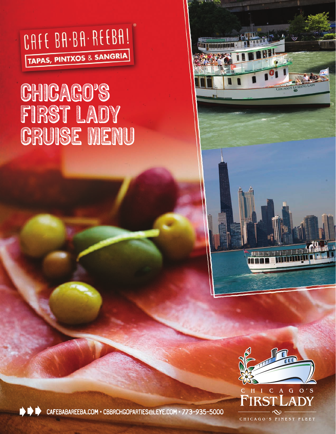

# CHICAGO'S FiRST LADY CRUISE MENU



*<u>MANALANDONIAN</u>* 



CAFEBABAREEBA.COM • CBBRCHGOPARTIES@LEYE.COM • 773-935-5000

CHICAGO'S FINEST FLEET

 $\overline{A}$  $\mathbf{C}$ 

 $G$  O'S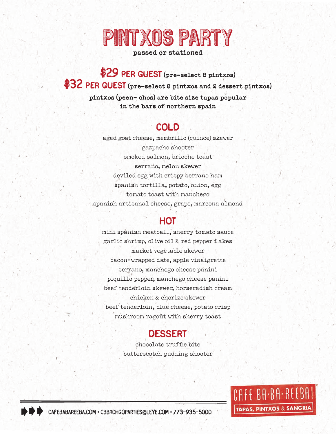

**passed or stationed**

\$29 per guest **(pre-select 8 pintxos)** \$32 per guest **(pre-select 8 pintxos and 2 dessert pintxos) pintxos (peen- chos) are bite size tapas popular in the bars of northern spain**

### cold

aged goat cheese, membrillo (quince) skewer gazpacho shooter smoked salmon, brioche toast serrano, melon skewer deviled egg with crispy serrano ham spanish tortilla, potato, onion, egg tomato toast with manchego spanish artisanal cheese, grape, marcona almond

### **HOT**

mini spanish meatball, sherry tomato sauce garlic shrimp, olive oil & red pepper flakes market vegetable skewer bacon-wrapped date, apple vinaigrette serrano, manchego cheese panini piquillo pepper, manchego cheese panini beef tenderloin skewer, horseradish cream chicken & chorizo skewer beef tenderloin, blue cheese, potato crisp mushroom ragoût with sherry toast

## dessert

chocolate truffle bite butterscotch pudding shooter



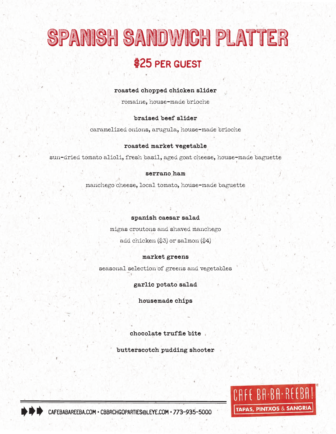# SPANISH SANDWICH PLATTER \$25 per guest

### **roasted chopped chicken slider**

romaine, house-made brioche

#### **braised beef slider**

caramelized onions, arugula, house-made brioche

#### **roasted market vegetable**

sun-dried tomato alioli, fresh basil, aged goat cheese, house-made baguette

#### **serrano ham**

manchego cheese, local tomato, house-made baguette

#### **spanish caesar salad**

migas croutons and shaved manchego add chicken  $(\$3)$  or salmon  $(\$4)$ 

### **market greens**

seasonal selection of greens and vegetables

**garlic potato salad**

**housemade chips**

**chocolate truffle bite**

**butterscotch pudding shooter** 



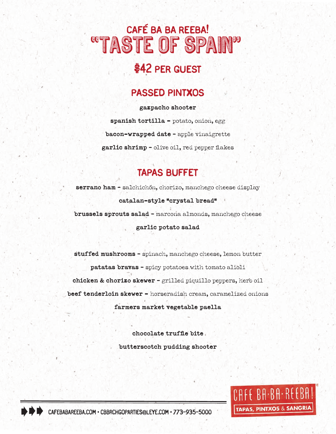# taste of spain" café ba ba reeba! 88

# \$42 per guest

## passed pintxos

**gazpacho shooter spanish tortilla -** potato, onion, egg **bacon-wrapped date** - apple vinaigrette **garlic shrimp** - olive oil, red pepper flakes

## tapas buffet

**serrano ham** - salchichón, chorizo, manchego cheese display **catalan-style "crystal bread" brussels sprouts salad** - marcona almonds, manchego cheese **garlic potato salad**

**stuffed mushrooms** - spinach, manchego cheese, lemon butter **patatas bravas** - spicy potatoes with tomato alioli **chicken & chorizo skewer** - grilled piquillo peppers, herb oil **beef tenderloin skewer -** horseradish cream, caramelized onions **farmers market vegetable paella** 

> **chocolate truffle bite butterscotch pudding shooter**